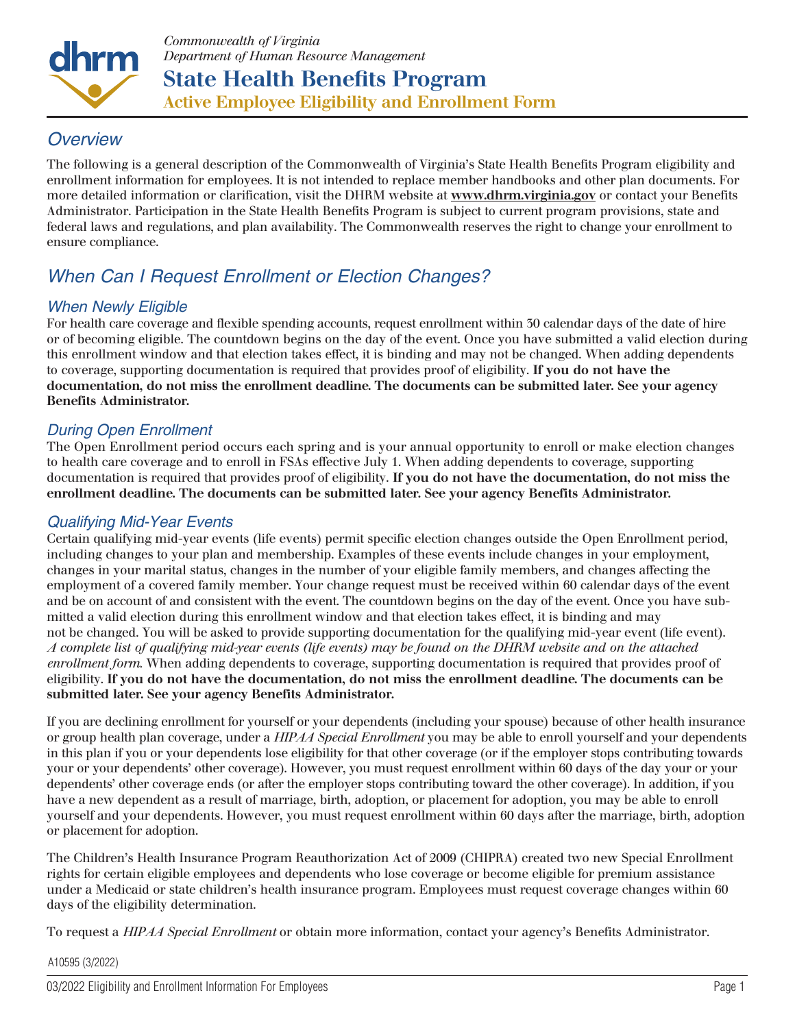

# *Overview*

The following is a general description of the Commonwealth of Virginia's State Health Benefits Program eligibility and enrollment information for employees. It is not intended to replace member handbooks and other plan documents. For more detailed information or clarification, visit the DHRM website at www.dhrm.virginia.gov or contact your Benefits Administrator. Participation in the State Health Benefits Program is subject to current program provisions, state and federal laws and regulations, and plan availability. The Commonwealth reserves the right to change your enrollment to ensure compliance.

# *When Can I Request Enrollment or Election Changes?*

# *When Newly Eligible*

For health care coverage and flexible spending accounts, request enrollment within 30 calendar days of the date of hire or of becoming eligible. The countdown begins on the day of the event. Once you have submitted a valid election during this enrollment window and that election takes effect, it is binding and may not be changed. When adding dependents to coverage, supporting documentation is required that provides proof of eligibility. If you do not have the documentation, do not miss the enrollment deadline. The documents can be submitted later. See your agency Benefits Administrator.

# *During Open Enrollment*

The Open Enrollment period occurs each spring and is your annual opportunity to enroll or make election changes to health care coverage and to enroll in FSAs effective July 1. When adding dependents to coverage, supporting documentation is required that provides proof of eligibility. If you do not have the documentation, do not miss the enrollment deadline. The documents can be submitted later. See your agency Benefits Administrator.

# *Qualifying Mid-Year Events*

Certain qualifying mid-year events (life events) permit specific election changes outside the Open Enrollment period, including changes to your plan and membership. Examples of these events include changes in your employment, changes in your marital status, changes in the number of your eligible family members, and changes affecting the employment of a covered family member. Your change request must be received within 60 calendar days of the event and be on account of and consistent with the event. The countdown begins on the day of the event. Once you have submitted a valid election during this enrollment window and that election takes effect, it is binding and may not be changed. You will be asked to provide supporting documentation for the qualifying mid-year event (life event). *A complete list of qualifying mid-year events (life events) may be found on the DHRM website and on the attached enrollment form.* When adding dependents to coverage, supporting documentation is required that provides proof of eligibility. If you do not have the documentation, do not miss the enrollment deadline. The documents can be submitted later. See your agency Benefits Administrator.

If you are declining enrollment for yourself or your dependents (including your spouse) because of other health insurance or group health plan coverage, under a *HIPAA Special Enrollment* you may be able to enroll yourself and your dependents in this plan if you or your dependents lose eligibility for that other coverage (or if the employer stops contributing towards your or your dependents' other coverage). However, you must request enrollment within 60 days of the day your or your dependents' other coverage ends (or after the employer stops contributing toward the other coverage). In addition, if you have a new dependent as a result of marriage, birth, adoption, or placement for adoption, you may be able to enroll yourself and your dependents. However, you must request enrollment within 60 days after the marriage, birth, adoption or placement for adoption.

The Children's Health Insurance Program Reauthorization Act of 2009 (CHIPRA) created two new Special Enrollment rights for certain eligible employees and dependents who lose coverage or become eligible for premium assistance under a Medicaid or state children's health insurance program. Employees must request coverage changes within 60 days of the eligibility determination.

To request a *HIPAA Special Enrollment* or obtain more information, contact your agency's Benefits Administrator.

#### A10595 (3/2022)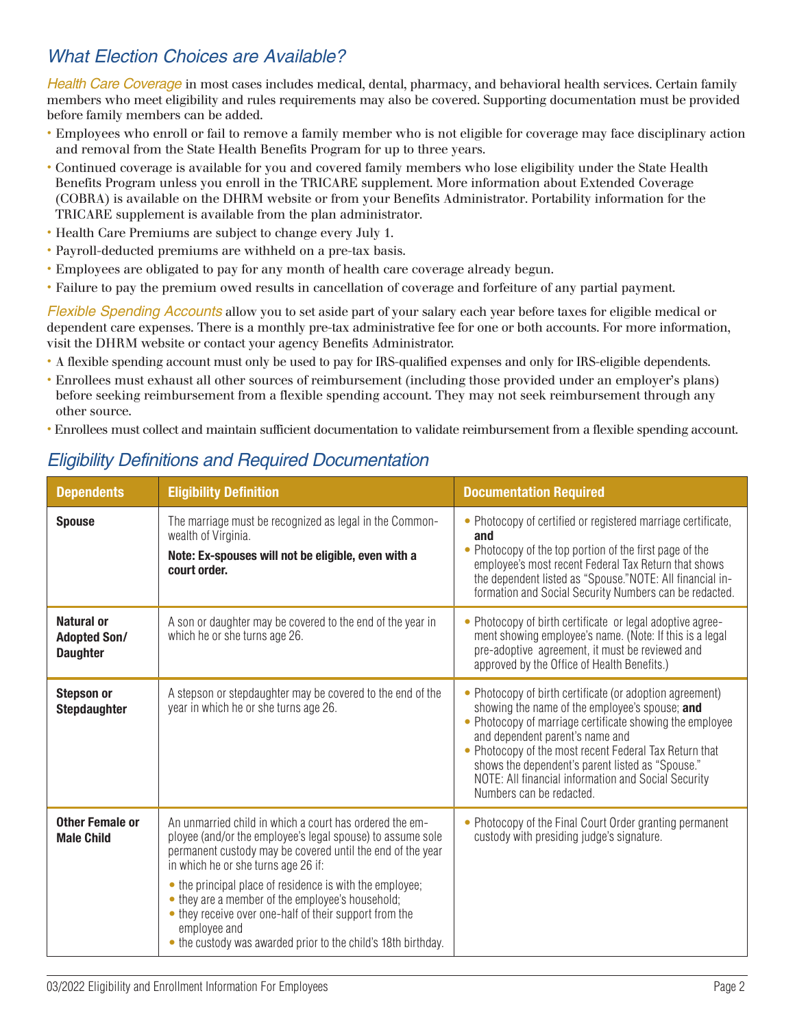# *What Election Choices are Available?*

*Health Care Coverage* in most cases includes medical, dental, pharmacy, and behavioral health services. Certain family members who meet eligibility and rules requirements may also be covered. Supporting documentation must be provided before family members can be added.

- Employees who enroll or fail to remove a family member who is not eligible for coverage may face disciplinary action and removal from the State Health Benefits Program for up to three years.
- Continued coverage is available for you and covered family members who lose eligibility under the State Health Benefits Program unless you enroll in the TRICARE supplement. More information about Extended Coverage (COBRA) is available on the DHRM website or from your Benefits Administrator. Portability information for the TRICARE supplement is available from the plan administrator.
- Health Care Premiums are subject to change every July 1.
- Payroll-deducted premiums are withheld on a pre-tax basis.
- Employees are obligated to pay for any month of health care coverage already begun.
- Failure to pay the premium owed results in cancellation of coverage and forfeiture of any partial payment.

*Flexible Spending Accounts* allow you to set aside part of your salary each year before taxes for eligible medical or dependent care expenses. There is a monthly pre-tax administrative fee for one or both accounts. For more information, visit the DHRM website or contact your agency Benefits Administrator.

- A flexible spending account must only be used to pay for IRS-qualified expenses and only for IRS-eligible dependents.
- Enrollees must exhaust all other sources of reimbursement (including those provided under an employer's plans) before seeking reimbursement from a flexible spending account. They may not seek reimbursement through any other source.
- Enrollees must collect and maintain sufficient documentation to validate reimbursement from a flexible spending account.

# *Eligibility Definitions and Required Documentation*

| <b>Dependents</b>                                    | <b>Eligibility Definition</b>                                                                                                                                                                                                                                                                                                                                                                                                                                                         | <b>Documentation Required</b>                                                                                                                                                                                                                                                                                                                                                                              |
|------------------------------------------------------|---------------------------------------------------------------------------------------------------------------------------------------------------------------------------------------------------------------------------------------------------------------------------------------------------------------------------------------------------------------------------------------------------------------------------------------------------------------------------------------|------------------------------------------------------------------------------------------------------------------------------------------------------------------------------------------------------------------------------------------------------------------------------------------------------------------------------------------------------------------------------------------------------------|
| <b>Spouse</b>                                        | The marriage must be recognized as legal in the Common-<br>wealth of Virginia.<br>Note: Ex-spouses will not be eligible, even with a<br>court order.                                                                                                                                                                                                                                                                                                                                  | • Photocopy of certified or registered marriage certificate,<br>and<br>• Photocopy of the top portion of the first page of the<br>employee's most recent Federal Tax Return that shows<br>the dependent listed as "Spouse." NOTE: All financial in-<br>formation and Social Security Numbers can be redacted.                                                                                              |
| Natural or<br><b>Adopted Son/</b><br><b>Daughter</b> | A son or daughter may be covered to the end of the year in<br>which he or she turns age 26.                                                                                                                                                                                                                                                                                                                                                                                           | • Photocopy of birth certificate or legal adoptive agree-<br>ment showing employee's name. (Note: If this is a legal<br>pre-adoptive agreement, it must be reviewed and<br>approved by the Office of Health Benefits.)                                                                                                                                                                                     |
| <b>Stepson or</b><br><b>Stepdaughter</b>             | A stepson or stepdaughter may be covered to the end of the<br>year in which he or she turns age 26.                                                                                                                                                                                                                                                                                                                                                                                   | • Photocopy of birth certificate (or adoption agreement)<br>showing the name of the employee's spouse; and<br>• Photocopy of marriage certificate showing the employee<br>and dependent parent's name and<br>• Photocopy of the most recent Federal Tax Return that<br>shows the dependent's parent listed as "Spouse."<br>NOTE: All financial information and Social Security<br>Numbers can be redacted. |
| <b>Other Female or</b><br><b>Male Child</b>          | An unmarried child in which a court has ordered the em-<br>ployee (and/or the employee's legal spouse) to assume sole<br>permanent custody may be covered until the end of the year<br>in which he or she turns age 26 if:<br>• the principal place of residence is with the employee;<br>• they are a member of the employee's household;<br>• they receive over one-half of their support from the<br>employee and<br>• the custody was awarded prior to the child's 18th birthday. | • Photocopy of the Final Court Order granting permanent<br>custody with presiding judge's signature.                                                                                                                                                                                                                                                                                                       |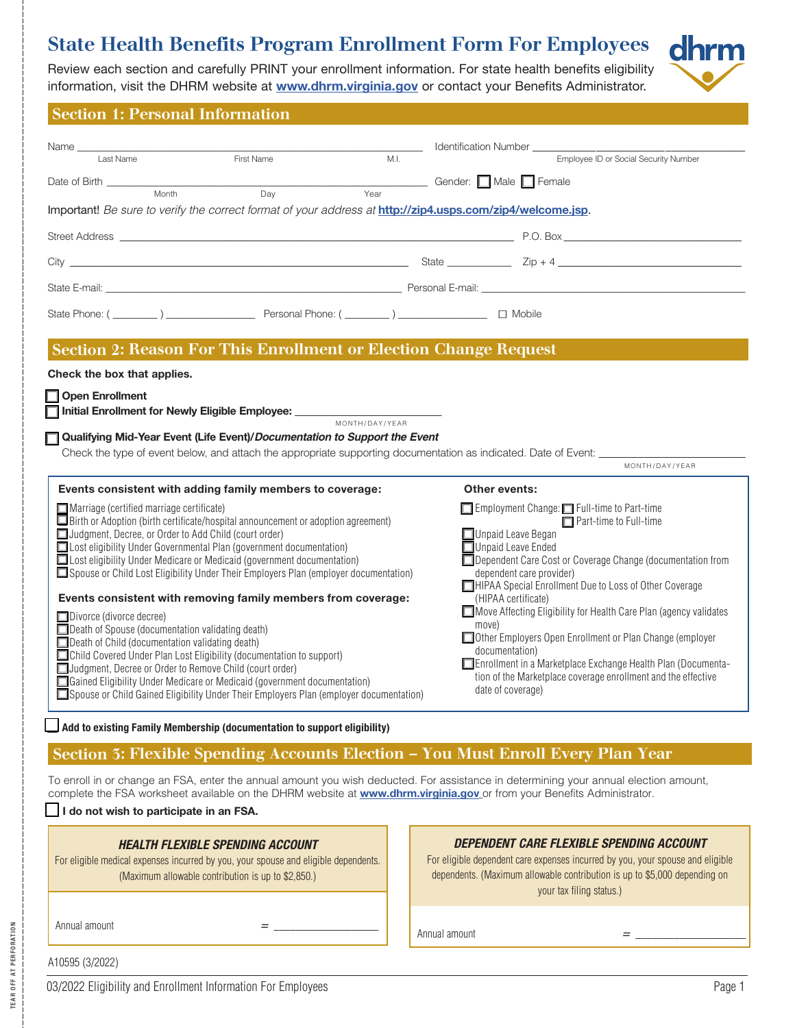# **State Health Benefits Program Enrollment Form For Employees**

Review each section and carefully PRINT your enrollment information. For state health benefits eligibility information, visit the DHRM website at **[www.dhrm.virginia.gov](http://www.dhrm.virginia.gov)** or contact your Benefits Administrator.



#### Section 1: Personal Information

| Name_<br>First Name<br>M.I.<br>Last Name                                                                                                                                                                                                                                                                                                                                                                                                                                                                                                                                                                                                                                                                                                                                                                                                                                                                                                                                                                                                | ____ Identification Number ______________<br>Employee ID or Social Security Number                                                                                                                                                                                                                                                                                                                                                                                                                                                                                                                                                          |  |  |  |  |  |  |  |
|-----------------------------------------------------------------------------------------------------------------------------------------------------------------------------------------------------------------------------------------------------------------------------------------------------------------------------------------------------------------------------------------------------------------------------------------------------------------------------------------------------------------------------------------------------------------------------------------------------------------------------------------------------------------------------------------------------------------------------------------------------------------------------------------------------------------------------------------------------------------------------------------------------------------------------------------------------------------------------------------------------------------------------------------|---------------------------------------------------------------------------------------------------------------------------------------------------------------------------------------------------------------------------------------------------------------------------------------------------------------------------------------------------------------------------------------------------------------------------------------------------------------------------------------------------------------------------------------------------------------------------------------------------------------------------------------------|--|--|--|--|--|--|--|
| Date of Birth ___________                                                                                                                                                                                                                                                                                                                                                                                                                                                                                                                                                                                                                                                                                                                                                                                                                                                                                                                                                                                                               | <u> Gender</u> : <b>□</b> Male □ Female                                                                                                                                                                                                                                                                                                                                                                                                                                                                                                                                                                                                     |  |  |  |  |  |  |  |
| Month<br>Year<br>Day                                                                                                                                                                                                                                                                                                                                                                                                                                                                                                                                                                                                                                                                                                                                                                                                                                                                                                                                                                                                                    |                                                                                                                                                                                                                                                                                                                                                                                                                                                                                                                                                                                                                                             |  |  |  |  |  |  |  |
| Important! Be sure to verify the correct format of your address at http://zip4.usps.com/zip4/welcome.jsp.                                                                                                                                                                                                                                                                                                                                                                                                                                                                                                                                                                                                                                                                                                                                                                                                                                                                                                                               |                                                                                                                                                                                                                                                                                                                                                                                                                                                                                                                                                                                                                                             |  |  |  |  |  |  |  |
|                                                                                                                                                                                                                                                                                                                                                                                                                                                                                                                                                                                                                                                                                                                                                                                                                                                                                                                                                                                                                                         |                                                                                                                                                                                                                                                                                                                                                                                                                                                                                                                                                                                                                                             |  |  |  |  |  |  |  |
|                                                                                                                                                                                                                                                                                                                                                                                                                                                                                                                                                                                                                                                                                                                                                                                                                                                                                                                                                                                                                                         |                                                                                                                                                                                                                                                                                                                                                                                                                                                                                                                                                                                                                                             |  |  |  |  |  |  |  |
|                                                                                                                                                                                                                                                                                                                                                                                                                                                                                                                                                                                                                                                                                                                                                                                                                                                                                                                                                                                                                                         | State E-mail: <b>Contract Contract Contract Contract Contract Contract Contract Contract Contract Contract Contract Contract Contract Contract Contract Contract Contract Contract Contract Contract Contract Contract Contract </b>                                                                                                                                                                                                                                                                                                                                                                                                        |  |  |  |  |  |  |  |
|                                                                                                                                                                                                                                                                                                                                                                                                                                                                                                                                                                                                                                                                                                                                                                                                                                                                                                                                                                                                                                         |                                                                                                                                                                                                                                                                                                                                                                                                                                                                                                                                                                                                                                             |  |  |  |  |  |  |  |
| Section 2: Reason For This Enrollment or Election Change Request                                                                                                                                                                                                                                                                                                                                                                                                                                                                                                                                                                                                                                                                                                                                                                                                                                                                                                                                                                        |                                                                                                                                                                                                                                                                                                                                                                                                                                                                                                                                                                                                                                             |  |  |  |  |  |  |  |
| Check the box that applies.                                                                                                                                                                                                                                                                                                                                                                                                                                                                                                                                                                                                                                                                                                                                                                                                                                                                                                                                                                                                             |                                                                                                                                                                                                                                                                                                                                                                                                                                                                                                                                                                                                                                             |  |  |  |  |  |  |  |
| □ Open Enrollment                                                                                                                                                                                                                                                                                                                                                                                                                                                                                                                                                                                                                                                                                                                                                                                                                                                                                                                                                                                                                       |                                                                                                                                                                                                                                                                                                                                                                                                                                                                                                                                                                                                                                             |  |  |  |  |  |  |  |
| Initial Enrollment for Newly Eligible Employee: _____________<br>MONTH/DAY/YEAR                                                                                                                                                                                                                                                                                                                                                                                                                                                                                                                                                                                                                                                                                                                                                                                                                                                                                                                                                         |                                                                                                                                                                                                                                                                                                                                                                                                                                                                                                                                                                                                                                             |  |  |  |  |  |  |  |
| □ Qualifying Mid-Year Event (Life Event)/Documentation to Support the Event                                                                                                                                                                                                                                                                                                                                                                                                                                                                                                                                                                                                                                                                                                                                                                                                                                                                                                                                                             |                                                                                                                                                                                                                                                                                                                                                                                                                                                                                                                                                                                                                                             |  |  |  |  |  |  |  |
| Check the type of event below, and attach the appropriate supporting documentation as indicated. Date of Event:                                                                                                                                                                                                                                                                                                                                                                                                                                                                                                                                                                                                                                                                                                                                                                                                                                                                                                                         | MONTH/DAY/YEAR                                                                                                                                                                                                                                                                                                                                                                                                                                                                                                                                                                                                                              |  |  |  |  |  |  |  |
| Events consistent with adding family members to coverage:<br>$\Box$ Marriage (certified marriage certificate)<br>$\Box$ Birth or Adoption (birth certificate/hospital announcement or adoption agreement)<br>Judgment, Decree, or Order to Add Child (court order)<br>□ Lost eligibility Under Governmental Plan (government documentation)<br>□ Lost eligibility Under Medicare or Medicaid (government documentation)<br>□ Spouse or Child Lost Eligibility Under Their Employers Plan (employer documentation)<br>Events consistent with removing family members from coverage:<br>$\Box$ Divorce (divorce decree)<br>Death of Spouse (documentation validating death)<br>Death of Child (documentation validating death)<br>Child Covered Under Plan Lost Eligibility (documentation to support)<br>Judgment, Decree or Order to Remove Child (court order)<br>□ Gained Eligibility Under Medicare or Medicaid (government documentation)<br>Spouse or Child Gained Eligibility Under Their Employers Plan (employer documentation) | <b>Other events:</b><br>Employment Change: Full-time to Part-time<br>Part-time to Full-time<br>$\Box$ Unpaid Leave Began<br>Unpaid Leave Ended<br>Dependent Care Cost or Coverage Change (documentation from<br>dependent care provider)<br>HIPAA Special Enrollment Due to Loss of Other Coverage<br>(HIPAA certificate)<br>Move Affecting Eligibility for Health Care Plan (agency validates<br>move)<br>Other Employers Open Enrollment or Plan Change (employer<br>documentation)<br>Enrollment in a Marketplace Exchange Health Plan (Documenta-<br>tion of the Marketplace coverage enrollment and the effective<br>date of coverage) |  |  |  |  |  |  |  |
| Add to existing Family Membership (documentation to support eligibility)                                                                                                                                                                                                                                                                                                                                                                                                                                                                                                                                                                                                                                                                                                                                                                                                                                                                                                                                                                |                                                                                                                                                                                                                                                                                                                                                                                                                                                                                                                                                                                                                                             |  |  |  |  |  |  |  |
| Section 5: Flexible Spending Accounts Election - You Must Enroll Every Plan Year                                                                                                                                                                                                                                                                                                                                                                                                                                                                                                                                                                                                                                                                                                                                                                                                                                                                                                                                                        |                                                                                                                                                                                                                                                                                                                                                                                                                                                                                                                                                                                                                                             |  |  |  |  |  |  |  |
| To enroll in or change an FSA, enter the annual amount you wish deducted. For assistance in determining your annual election amount,<br>complete the FSA worksheet available on the DHRM website at <b>www.dhrm.virginia.gov</b> or from your Benefits Administrator.<br>$\Box$ I do not wish to participate in an FSA.                                                                                                                                                                                                                                                                                                                                                                                                                                                                                                                                                                                                                                                                                                                 |                                                                                                                                                                                                                                                                                                                                                                                                                                                                                                                                                                                                                                             |  |  |  |  |  |  |  |
| <b>HEALTH FLEXIBLE SPENDING ACCOUNT</b><br>For eligible medical expenses incurred by you, your spouse and eligible dependents.<br>(Maximum allowable contribution is up to \$2,850.)                                                                                                                                                                                                                                                                                                                                                                                                                                                                                                                                                                                                                                                                                                                                                                                                                                                    | DEPENDENT CARE FLEXIBLE SPENDING ACCOUNT<br>For eligible dependent care expenses incurred by you, your spouse and eligible<br>dependents. (Maximum allowable contribution is up to \$5,000 depending on<br>your tax filing status.)                                                                                                                                                                                                                                                                                                                                                                                                         |  |  |  |  |  |  |  |
| Annual amount<br>$=$ $-$                                                                                                                                                                                                                                                                                                                                                                                                                                                                                                                                                                                                                                                                                                                                                                                                                                                                                                                                                                                                                | Annual amount<br><i>=</i> 2010년 10월 10월 10월                                                                                                                                                                                                                                                                                                                                                                                                                                                                                                                                                                                                 |  |  |  |  |  |  |  |
| A10595 (3/2022)                                                                                                                                                                                                                                                                                                                                                                                                                                                                                                                                                                                                                                                                                                                                                                                                                                                                                                                                                                                                                         |                                                                                                                                                                                                                                                                                                                                                                                                                                                                                                                                                                                                                                             |  |  |  |  |  |  |  |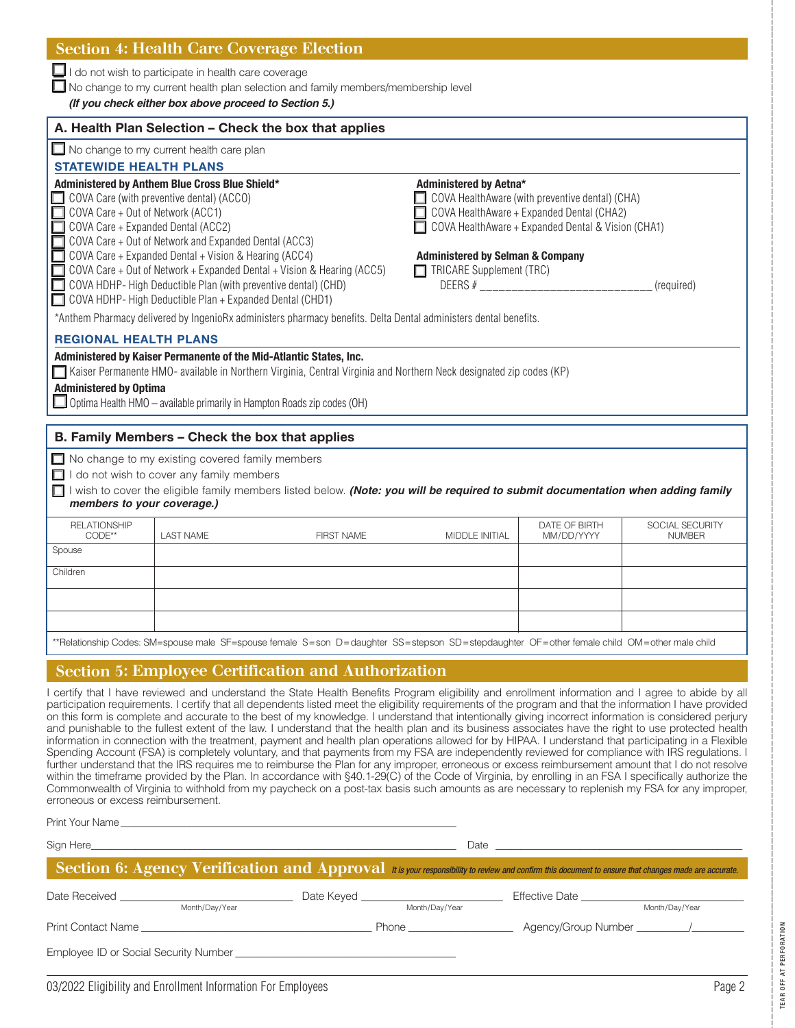$\Box$  I do not wish to participate in health care coverage

 $\Box$  No change to my current health plan selection and family members/membership level

*(If you check either box above proceed to Section 5.)*

|                               |                                                                                                                                                                                                                                                                                                                                                                                                                                    | A. Health Plan Selection - Check the box that applies                                                                                       |                                                                                                          |                                                                                                                                                    |                                  |
|-------------------------------|------------------------------------------------------------------------------------------------------------------------------------------------------------------------------------------------------------------------------------------------------------------------------------------------------------------------------------------------------------------------------------------------------------------------------------|---------------------------------------------------------------------------------------------------------------------------------------------|----------------------------------------------------------------------------------------------------------|----------------------------------------------------------------------------------------------------------------------------------------------------|----------------------------------|
|                               | $\Box$ No change to my current health care plan                                                                                                                                                                                                                                                                                                                                                                                    |                                                                                                                                             |                                                                                                          |                                                                                                                                                    |                                  |
| <b>STATEWIDE HEALTH PLANS</b> |                                                                                                                                                                                                                                                                                                                                                                                                                                    |                                                                                                                                             |                                                                                                          |                                                                                                                                                    |                                  |
|                               | Administered by Anthem Blue Cross Blue Shield*<br>COVA Care (with preventive dental) (ACCO)<br>COVA Care + Out of Network (ACC1)<br>COVA Care + Expanded Dental (ACC2)<br>COVA Care + Out of Network and Expanded Dental (ACC3)<br>$\Box$ COVA Care + Expanded Dental + Vision & Hearing (ACC4)<br>COVA HDHP-High Deductible Plan (with preventive dental) (CHD)<br>$\Box$ COVA HDHP-High Deductible Plan + Expanded Dental (CHD1) | $\Box$ COVA Care + Out of Network + Expanded Dental + Vision & Hearing (ACC5)                                                               | Administered by Aetna*<br><b>Administered by Selman &amp; Company</b><br>$\Box$ TRICARE Supplement (TRC) | COVA HealthAware (with preventive dental) (CHA)<br>COVA HealthAware + Expanded Dental (CHA2)<br>COVA HealthAware + Expanded Dental & Vision (CHA1) | (required)                       |
|                               |                                                                                                                                                                                                                                                                                                                                                                                                                                    | *Anthem Pharmacy delivered by IngenioRx administers pharmacy benefits. Delta Dental administers dental benefits.                            |                                                                                                          |                                                                                                                                                    |                                  |
| <b>REGIONAL HEALTH PLANS</b>  |                                                                                                                                                                                                                                                                                                                                                                                                                                    |                                                                                                                                             |                                                                                                          |                                                                                                                                                    |                                  |
|                               | Administered by Kaiser Permanente of the Mid-Atlantic States, Inc.                                                                                                                                                                                                                                                                                                                                                                 |                                                                                                                                             |                                                                                                          |                                                                                                                                                    |                                  |
| <b>Administered by Optima</b> |                                                                                                                                                                                                                                                                                                                                                                                                                                    | Kaiser Permanente HMO- available in Northern Virginia, Central Virginia and Northern Neck designated zip codes (KP)                         |                                                                                                          |                                                                                                                                                    |                                  |
|                               | $\Box$ Optima Health HMO – available primarily in Hampton Roads zip codes (OH)                                                                                                                                                                                                                                                                                                                                                     |                                                                                                                                             |                                                                                                          |                                                                                                                                                    |                                  |
|                               |                                                                                                                                                                                                                                                                                                                                                                                                                                    |                                                                                                                                             |                                                                                                          |                                                                                                                                                    |                                  |
|                               | B. Family Members - Check the box that applies                                                                                                                                                                                                                                                                                                                                                                                     |                                                                                                                                             |                                                                                                          |                                                                                                                                                    |                                  |
|                               | $\Box$ No change to my existing covered family members                                                                                                                                                                                                                                                                                                                                                                             |                                                                                                                                             |                                                                                                          |                                                                                                                                                    |                                  |
|                               | $\Box$ I do not wish to cover any family members                                                                                                                                                                                                                                                                                                                                                                                   |                                                                                                                                             |                                                                                                          |                                                                                                                                                    |                                  |
|                               |                                                                                                                                                                                                                                                                                                                                                                                                                                    | I wish to cover the eligible family members listed below. (Note: you will be required to submit documentation when adding family            |                                                                                                          |                                                                                                                                                    |                                  |
|                               | members to your coverage.)                                                                                                                                                                                                                                                                                                                                                                                                         |                                                                                                                                             |                                                                                                          |                                                                                                                                                    |                                  |
| <b>RELATIONSHIP</b><br>CODE** | <b>LAST NAME</b>                                                                                                                                                                                                                                                                                                                                                                                                                   | <b>FIRST NAME</b>                                                                                                                           | <b>MIDDLE INITIAL</b>                                                                                    | DATE OF BIRTH<br>MM/DD/YYYY                                                                                                                        | SOCIAL SECURITY<br><b>NUMBER</b> |
| Spouse                        |                                                                                                                                                                                                                                                                                                                                                                                                                                    |                                                                                                                                             |                                                                                                          |                                                                                                                                                    |                                  |
| Children                      |                                                                                                                                                                                                                                                                                                                                                                                                                                    |                                                                                                                                             |                                                                                                          |                                                                                                                                                    |                                  |
|                               |                                                                                                                                                                                                                                                                                                                                                                                                                                    |                                                                                                                                             |                                                                                                          |                                                                                                                                                    |                                  |
|                               |                                                                                                                                                                                                                                                                                                                                                                                                                                    |                                                                                                                                             |                                                                                                          |                                                                                                                                                    |                                  |
|                               |                                                                                                                                                                                                                                                                                                                                                                                                                                    |                                                                                                                                             |                                                                                                          |                                                                                                                                                    |                                  |
|                               |                                                                                                                                                                                                                                                                                                                                                                                                                                    | **Relationship Codes: SM=spouse male SF=spouse female S=son D=daughter SS=stepson SD=stepdaughter OF=other female child OM=other male child |                                                                                                          |                                                                                                                                                    |                                  |
|                               |                                                                                                                                                                                                                                                                                                                                                                                                                                    |                                                                                                                                             |                                                                                                          |                                                                                                                                                    |                                  |

#### Section 5: Employee Certification and Authorization

I certify that I have reviewed and understand the State Health Benefits Program eligibility and enrollment information and I agree to abide by all participation requirements. I certify that all dependents listed meet the eligibility requirements of the program and that the information I have provided on this form is complete and accurate to the best of my knowledge. I understand that intentionally giving incorrect information is considered perjury and punishable to the fullest extent of the law. I understand that the health plan and its business associates have the right to use protected health information in connection with the treatment, payment and health plan operations allowed for by HIPAA. I understand that participating in a Flexible Spending Account (FSA) is completely voluntary, and that payments from my FSA are independently reviewed for compliance with IRS regulations. I further understand that the IRS requires me to reimburse the Plan for any improper, erroneous or excess reimbursement amount that I do not resolve within the timeframe provided by the Plan. In accordance with §40.1-29(C) of the Code of Virginia, by enrolling in an FSA I specifically authorize the Commonwealth of Virginia to withhold from my paycheck on a post-tax basis such amounts as are necessary to replenish my FSA for any improper, erroneous or excess reimbursement.

Print Your Name

Sign Here\_\_\_\_\_\_\_\_\_\_\_\_\_\_\_\_\_\_\_\_\_\_\_\_\_\_\_\_\_\_\_\_\_\_\_\_\_\_\_\_\_\_\_\_\_\_\_\_\_\_\_\_\_\_\_\_\_\_\_\_\_\_\_\_\_\_\_\_\_\_\_\_\_\_ Date \_\_\_\_\_\_\_\_\_\_\_\_\_\_\_\_\_\_\_\_\_\_\_\_\_\_\_\_\_\_\_\_\_\_\_\_\_\_\_\_\_\_\_\_\_\_\_\_\_\_

| $\blacktriangleright$ Section 6: Agency Verification and Approval it is your responsibility to review and confirm this document to ensure that changes made are accurate. |                |            |                |                       |                |  |  |  |  |
|---------------------------------------------------------------------------------------------------------------------------------------------------------------------------|----------------|------------|----------------|-----------------------|----------------|--|--|--|--|
| Date Received                                                                                                                                                             |                | Date Keyed |                | Effective Date        |                |  |  |  |  |
|                                                                                                                                                                           | Month/Day/Year |            | Month/Day/Year |                       | Month/Day/Year |  |  |  |  |
| <b>Print Contact Name</b>                                                                                                                                                 |                |            | Phone          | Agency/Group Number / |                |  |  |  |  |
| Employee ID or Social Security Number                                                                                                                                     |                |            |                |                       |                |  |  |  |  |

TEAR OFF AT PERFORATION

**TEAR OFF AT PERFORATION**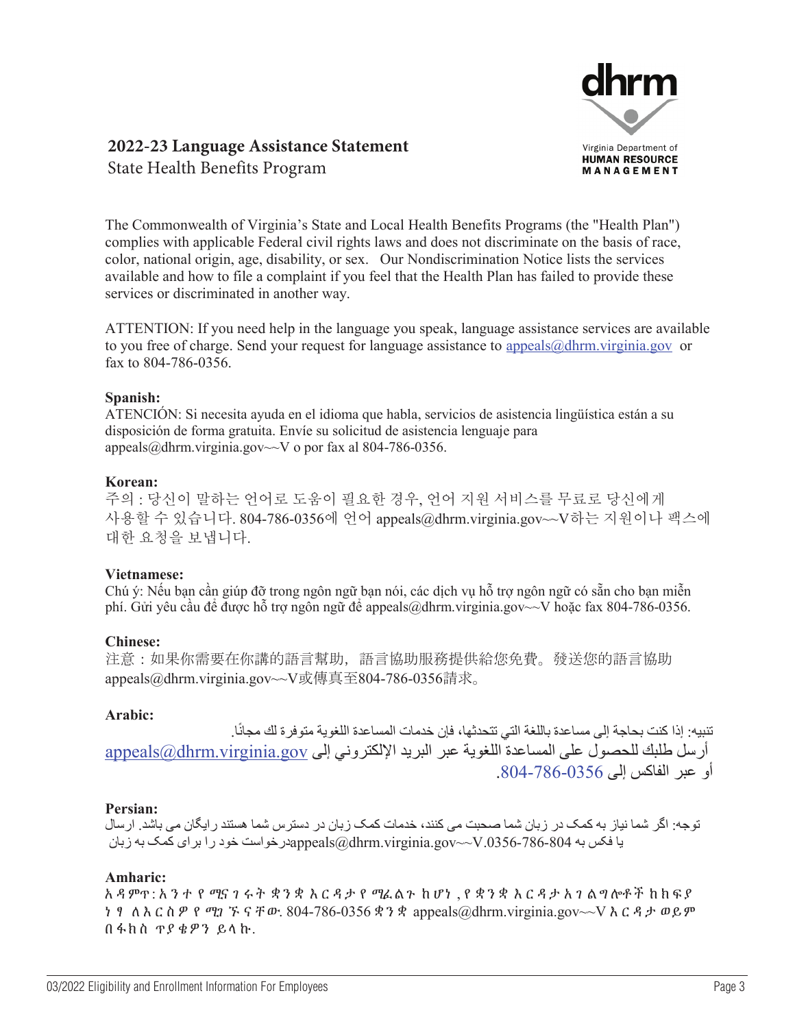

# **2022-23 Language Assistance Statement**

State Health Benefits Program

The Commonwealth of Virginia's State and Local Health Benefits Programs (the "Health Plan") complies with applicable Federal civil rights laws and does not discriminate on the basis of race, color, national origin, age, disability, or sex. Our Nondiscrimination Notice lists the services available and how to file a complaint if you feel that the Health Plan has failed to provide these services or discriminated in another way.

ATTENTION: If you need help in the language you speak, language assistance services are available to you free of charge. Send your request for language assistance to appeals@dhrm.virginia.gov or fax to 804-786-0356.

#### **Spanish:**

ATENCIÓN: Si necesita ayuda en el idioma que habla, servicios de asistencia lingüística están a su disposición de forma gratuita. Envíe su solicitud de asistencia lenguaje para appeals@dhrm.virginia.gov~~V o por fax al 804-786-0356.

#### **Korean:**

주의 : 당신이 말하는 언어로 도움이 필요한 경우, 언어 지원 서비스를 무료로 당신에게 사용할 수 있습니다. 804-786-0356에 언어 appeals@dhrm.virginia.gov~~V하는 지원이나 팩스에 대한 요청을 보냅니다.

#### **Vietnamese:**

Chú ý: Nếu bạn cần giúp đỡ trong ngôn ngữ bạn nói, các dịch vụ hỗ trợ ngôn ngữ có sẵn cho bạn miễn phí. Gửi yêu cầu để được hỗ trợ ngôn ngữ để appeals@dhrm.virginia.gov~ $\sim$ V hoặc fax 804-786-0356.

#### **Chinese:**

注意:如果你需要在你講的語言幫助,語言協助服務提供給您免費。發送您的語言協助 appeals@dhrm.virginia.gov~~V或傳真至804-786-0356請求。

#### **Arabic:**

تنبيه: إذا كنت بحاجة إلى مساعدة باللغة التي تتحدثها، فإن خدمات المساعدة اللغوية متوفرة لك مجانًا. أرسل طلبك للحصول على المساعدة اللغوية عبر البريد الإلكتروني إلى appeals@dhrm.virginia.gov أو عبر الفاكس إلى .804-786-0356

#### **Persian:**

توجه: اگر شما نياز به کمک در زبان شما صحبت می کنند، خدمات کمک زبان در دسترس شما هستند رايگان می باشد. ارسال يا فکس به 804-786-786-804. $a$ yrginia.gov~ $\sim$ V. محک به زبان Popeals درخواست خود را برای کمک به زبان

#### **Amharic:**

አ ዳ ምጥ: አንተ የ ሚና ገ ሩ ት ቋንቋ እርዳታ የ ሚፈ ል ጉ ከ ሆነ , የ ቋንቋ እርዳታ አ ገ ል ግ ሎቶ ች ከክፍያ ነ ፃ ለእርስዎ የ ሚገ ኙ ናቸው. 804-786-0356 ቋንቋ appeals@dhrm.virginia.gov~~V እርዳታ ወይም በፋክስ ጥያ ቄዎን ይላ ኩ.